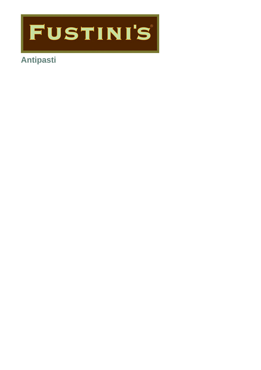

# **Antipasti**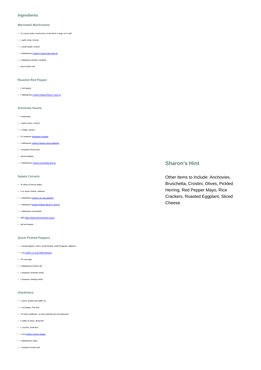#### **Ingredients**

#### **Marinated Mushrooms**

- 12 ounces button mushrooms, small whole or large cut in half
- 1 garlic clove, minced
- 1 small shallot, minced
- 3 tablespoons [Fustini's Tuscan Herb olive oil](https://www.fustinis.com/oils/infused-extra-virgin-olive-oils/tuscan-herb/)
- 1 tablespoon parsley, chopped
- pinch Kosher salt

#### **Roasted Red Pepper**

- 1 red pepper
- 2 tablespoons [Fustini's Robust SELECT olive oil](https://www.fustinis.com/order/category/oils/extra-virgin-olive-oils/robust_10/)

#### **Artichoke Hearts**

- 4 artichokes
- 2 garlic cloves, minced
- 1 shallot, minced
- 1/2 teaspoon *[wholegrain mustard](https://www.fustinis.com/order/whole-grain-mustard_1773/)*
- 1 tablespoon Fustini's Sicilian Lemon balsa
- 1 teaspoon lemon juice
- salt and pepper
- 2 tablespoons [Fustini's Gremolata olive oil](https://www.fustinis.com/oils/infused-extra-virgin-olive-oils/gremolata/)

#### **Salami Cornets**

- 25 slices of Genoa salami
- 4 oz cream cheese, softened
- 1 tablespoon [Fustini's 18 Year balsamic](https://www.fustinis.com/vinegars/balsamic-vinegars/18-year-traditional-balsamic/)
- 1 tablespoon [Fustini's Robust SELECT olive oil](https://www.fustinis.com/order/category/oils/extra-virgin-olive-oils/robust_10/)
- 1 tablespoon horseradish
- dash [Black Sheep Worcestershire Sauce](https://www.fustinis.com/order/worcestershire-sauce_464/)
- salt and pepper

#### **Quick Pickled Peppers**

- 1 pound peppers, cherry, small banana, small Hungarian, jalapeno
- 1 up [Fustini's 12 Year White balsamic](https://www.fustinis.com/vinegars/balsamic-vinegars/12-year-premium-white/)
- 1/4 cup sugar
- 3 tablespoons Kosher salt
- 1 teaspoon coriander seeds
- 1 teaspoon caraway seeds

#### **Giardiniera**

- 1 carrot, peeled and waffle cut
- 1 red pepper, fine dice
- 1/2 head cauliflower, cut into small bite-size and blanched
- 3 stalks of celery, sliced thin
- 1 zucchini, small dice
- 1 cup [Fustini's Vinoso vinegar](https://www.fustinis.com/vinegars/vinegars/vinoso-vinegar/)
- 2 tablespoons sugar
- 1 teaspoon Kosher salt

### **Sharon's Hint**

Other Items to Include: Anchovies, Bruschetta, Crostini, Olives, Pickled Herring, Red Pepper Mayo, Rice Crackers, Roasted Eggplant, Sliced Cheese